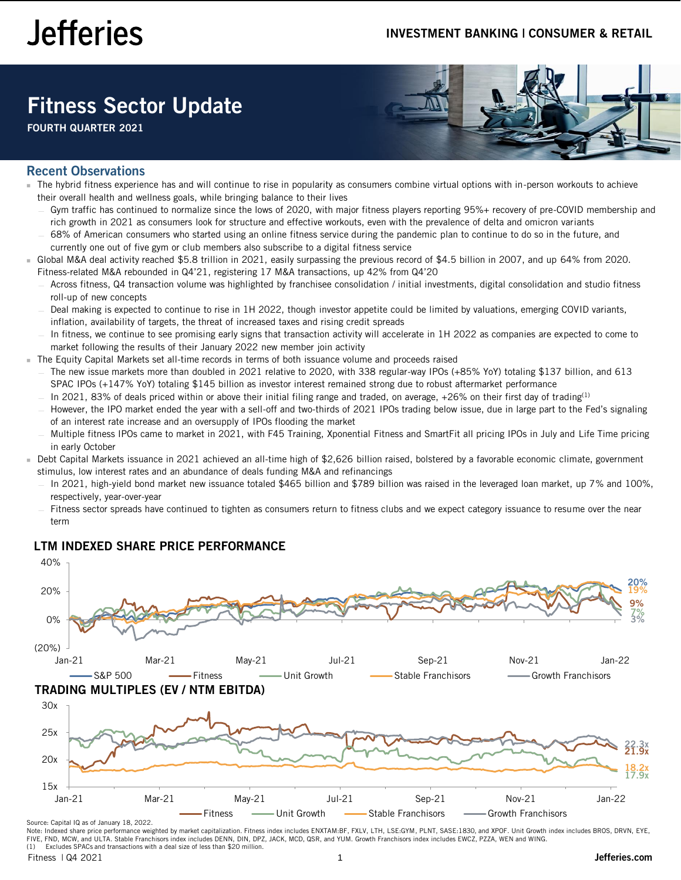# Fitness Sector Update

FOURTH QUARTER 2021



## Recent Observations

- The hybrid fitness experience has and will continue to rise in popularity as consumers combine virtual options with in-person workouts to achieve their overall health and wellness goals, while bringing balance to their lives
	- Gym traffic has continued to normalize since the lows of 2020, with major fitness players reporting 95%+ recovery of pre-COVID membership and rich growth in 2021 as consumers look for structure and effective workouts, even with the prevalence of delta and omicron variants
	- 68% of American consumers who started using an online fitness service during the pandemic plan to continue to do so in the future, and currently one out of five gym or club members also subscribe to a digital fitness service
- Global M&A deal activity reached \$5.8 trillion in 2021, easily surpassing the previous record of \$4.5 billion in 2007, and up 64% from 2020. Fitness-related M&A rebounded in Q4'21, registering 17 M&A transactions, up 42% from Q4'20
	- Across fitness, Q4 transaction volume was highlighted by franchisee consolidation / initial investments, digital consolidation and studio fitness roll-up of new concepts
	- Deal making is expected to continue to rise in 1H 2022, though investor appetite could be limited by valuations, emerging COVID variants, inflation, availability of targets, the threat of increased taxes and rising credit spreads
	- In fitness, we continue to see promising early signs that transaction activity will accelerate in 1H 2022 as companies are expected to come to market following the results of their January 2022 new member join activity
- The Equity Capital Markets set all-time records in terms of both issuance volume and proceeds raised
	- The new issue markets more than doubled in 2021 relative to 2020, with 338 regular-way IPOs (+85% YoY) totaling \$137 billion, and 613 SPAC IPOs (+147% YoY) totaling \$145 billion as investor interest remained strong due to robust aftermarket performance
		- In 2021, 83% of deals priced within or above their initial filing range and traded, on average,  $+26%$  on their first day of trading<sup>(1)</sup>
	- However, the IPO market ended the year with a sell-off and two-thirds of 2021 IPOs trading below issue, due in large part to the Fed's signaling of an interest rate increase and an oversupply of IPOs flooding the market
	- Multiple fitness IPOs came to market in 2021, with F45 Training, Xponential Fitness and SmartFit all pricing IPOs in July and Life Time pricing in early October
- Debt Capital Markets issuance in 2021 achieved an all-time high of \$2,626 billion raised, bolstered by a favorable economic climate, government stimulus, low interest rates and an abundance of deals funding M&A and refinancings
	- In 2021, high-yield bond market new issuance totaled \$465 billion and \$789 billion was raised in the leveraged loan market, up 7% and 100%, respectively, year-over-year
	- Fitness sector spreads have continued to tighten as consumers return to fitness clubs and we expect category issuance to resume over the near term

## LTM INDEXED SHARE PRICE PERFORMANCE



Note: Indexed share price performance weighted by market capitalization. Fitness index includes ENXTAM:BF, FXLV, LTH, LSE:GYM, PLNT, SASE:1830, and XPOF. Unit Growth index includes BROS, DRVN, EYE, FIVE, FND, MCW, and ULTA. Stable Franchisors index includes DENN, DIN, DPZ, JACK, MCD, QSR, and YUM. Growth Franchisors index includes EWCZ, PZZA, WEN and WING. Excludes SPACs and transactions with a deal size of less than \$20 million.

Fitness | Q4 2021 1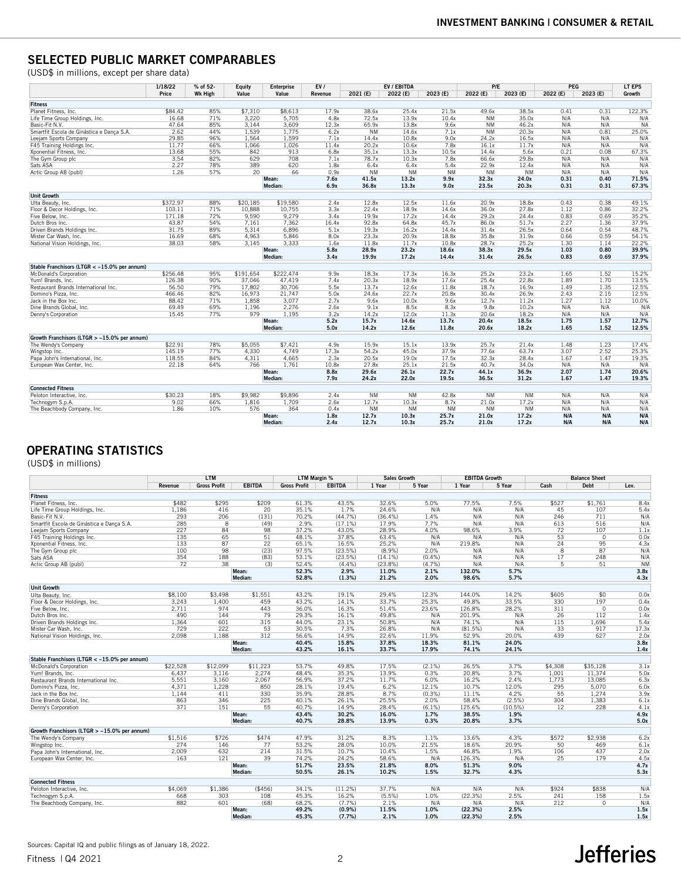## SELECTED PUBLIC MARKET COMPARABLES

(USD\$ in millions, except per share data)

|                                              | 1/18/22  | % of 52-       | Equity    | <b>Enterprise</b> | EVI     | EV / EBITDA |           | P/E       |           | PEG       | LT EPS   |          |        |
|----------------------------------------------|----------|----------------|-----------|-------------------|---------|-------------|-----------|-----------|-----------|-----------|----------|----------|--------|
|                                              | Price    | <b>Wk High</b> | Value     | Value             | Revenue | 2021 (E)    | 2022 (E)  | 2023 (E)  | 2022 (E)  | 2023 (E)  | 2022 (E) | 2023 (E) | Growth |
| Fitness                                      |          |                |           |                   |         |             |           |           |           |           |          |          |        |
| Planet Fitness, Inc.                         | \$84.42  | 85%            | \$7,310   | \$8,613           | 17.9x   | 38.6x       | 25.4x     | 21.5x     | 49.6x     | 38.5x     | 0.41     | 0.31     | 122.3% |
| Life Time Group Holdings, Inc.               | 16.68    | 71%            | 3.220     | 5.705             | 4.8x    | 72.5x       | 13.9x     | 10.4x     | <b>NM</b> | 35.0x     | N/A      | N/A      | N/A    |
| Basic-Fit N.V.                               | 47.64    | 85%            | 3.144     | 3.609             | 12.3x   | 65.9x       | 13.8x     | 9.6x      | <b>NM</b> | 46.2x     | N/A      | N/A      | NA     |
| Smartfit Escola de Ginástica e Dança S.A.    | 2.62     | 44%            | 1,539     | 1.775             | 6.2x    | <b>NM</b>   | 14.6x     | 7.1x      | <b>NM</b> | 20.3x     | N/A      | 0.81     | 25.0%  |
| Leejam Sports Company                        | 29.85    | 96%            | 1,564     | 1,599             | 7.1x    | 14.4x       | 10.8x     | 9.0x      | 24.2x     | 16.5x     | N/A      | N/A      | N/A    |
| F45 Training Holdings Inc.                   | 11.77    | 66%            | 1,066     | 1.026             | 11.4x   | 20.2x       | 10.6x     | 7.8x      | 16.1x     | 11.7x     | N/A      | N/A      | N/A    |
| Xponential Fitness, Inc.                     | 13.68    | 55%            | 842       | 913               | 6.8x    | 35.1x       | 13.3x     | 10.5x     | 14.4x     | 5.6x      | 0.21     | 0.08     | 67.3%  |
| The Gym Group plc                            | 3.54     | 82%            | 629       | 708               | 7.1x    | 78.7x       | 10.3x     | 7.8x      | 66.6x     | 29.8x     | N/A      | N/A      | N/A    |
| Sats ASA                                     | 2.27     | 78%            | 389       | 620               | 1.8x    | 6.4x        | 6.4x      | 5.4x      | 22.9x     | 12.4x     | N/A      | N/A      | N/A    |
| Actic Group AB (publ)                        | 1.26     | 57%            | 20        | 66                | 0.9x    | <b>NM</b>   | <b>NM</b> | <b>NM</b> | <b>NM</b> | <b>NM</b> | N/A      | N/A      | N/A    |
|                                              |          |                |           | Mean:             | 7.6x    | 41.5x       | 13.2x     | 9.9x      | 32.3x     | 24.0x     | 0.31     | 0.40     | 71.5%  |
|                                              |          |                |           | Median:           | 6.9x    | 36.8x       | 13.3x     | 9.0x      | 23.5x     | 20.3x     | 0.31     | 0.31     | 67.3%  |
| <b>Unit Growth</b>                           |          |                |           |                   |         |             |           |           |           |           |          |          |        |
| Ulta Beauty, Inc.                            | \$372.97 | 88%            | \$20.185  | \$19,580          | 2.4x    | 12.8x       | 12.5x     | 11.6x     | 20.9x     | 18.8x     | 0.43     | 0.38     | 49.1%  |
| Floor & Decor Holdings, Inc.                 | 103.11   | 71%            | 10,888    | 10,755            | 3.3x    | 22.4x       | 18.9x     | 14.6x     | 36.0x     | 27.8x     | 1.12     | 0.86     | 32.2%  |
| Five Below, Inc.                             | 171.18   | 72%            | 9,590     | 9,279             | 3.4x    | 19.9x       | 17.2x     | 14.4x     | 29.2x     | 24.4x     | 0.83     | 0.69     | 35.2%  |
| Dutch Bros Inc.                              | 43.87    | 54%            | 7,161     | 7.362             | 16.4x   | 92.8x       | 64.8x     | 45.7x     | 86.0x     | 51.7x     | 2.27     | 1.36     | 37.9%  |
| Driven Brands Holdings Inc.                  | 31.75    | 89%            | 5.314     | 6.896             | 5.1x    | 19.3x       | 16.2x     | 14.4x     | 31.4x     | 26.5x     | 0.64     | 0.54     | 48.7%  |
| Mister Car Wash, Inc.                        | 16.69    | 68%            | 4.963     | 5.846             | 8.0x    | 23.3x       | 20.9x     | 18.8x     | 35.8x     | 31.9x     | 0.66     | 0.59     | 54.1%  |
| National Vision Holdings, Inc.               | 38.03    | 58%            | 3,145     | 3,333             | 1.6x    | 11.8x       | 11.7x     | 10.8x     | 28.7x     | 25.2x     | 1.30     | 1.14     | 22.2%  |
|                                              |          |                |           | Mean:             | 5.8x    | 28.9x       | 23.2x     | 18.6x     | 38.3x     | 29.5x     | 1.03     | 0.80     | 39.9%  |
|                                              |          |                |           | Median:           | 3.4x    | 19.9x       | 17.2x     | 14.4x     | 31.4x     | 26.5x     | 0.83     | 0.69     | 37.9%  |
| Stable Franchisors (LTGR < ~15.0% per annum) |          |                |           |                   |         |             |           |           |           |           |          |          |        |
| McDonald's Corporation                       | \$256.48 | 95%            | \$191,654 | \$222,474         | 9.9x    | 18.3x       | 17.3x     | 16.3x     | 25.2x     | 23.2x     | 1.65     | 1.52     | 15.2%  |
| Yum! Brands, Inc.                            | 126.38   | 90%            | 37,046    | 47,419            | 7.4x    | 20.3x       | 18.9x     | 17.6x     | 25.4x     | 22.8x     | 1.89     | 1.70     | 13.5%  |
| Restaurant Brands International Inc.         | 56.50    | 79%            | 17.802    | 30.706            | 5.5x    | 13.7x       | 12.6x     | 11.8x     | 18.7x     | 16.9x     | 1.49     | 1.35     | 12.5%  |
| Domino's Pizza, Inc.                         | 466.46   | 82%            | 16,973    | 21,747            | 5.0x    | 24.6x       | 22.7x     | 20.8x     | 30.4x     | 26.9x     | 2.43     | 2.15     | 12.5%  |
| Jack in the Box Inc.                         | 88.42    | 71%            | 1,858     | 3,077             | 2.7x    | 9.6x        | 10.0x     | 9.6x      | 12.7x     | 11.2x     | 1.27     | 1.12     | 10.0%  |
| Dine Brands Global, Inc.                     | 69.49    | 69%            | 1.196     | 2,276             | 2.6x    | 9.1x        | 8.5x      | 8.3x      | 9.8x      | 10.2x     | N/A      | N/A      | N/A    |
| Denny's Corporation                          | 15.45    | 77%            | 979       | 1.195             | 3.2x    | 14.2x       | 12.0x     | 11.3x     | 20.6x     | 18.2x     | N/A      | N/A      | N/A    |
|                                              |          |                |           | Mean:             | 5.2x    | 15.7x       | 14.6x     | 13.7x     | 20.4x     | 18.5x     | 1.75     | 1.57     | 12.7%  |
|                                              |          |                |           | Median:           | 5.0x    | 14.2x       | 12.6x     | 11.8x     | 20.6x     | 18.2x     | 1.65     | 1.52     | 12.5%  |
| Growth Franchisors (LTGR > ~15.0% per annum) |          |                |           |                   |         |             |           |           |           |           |          |          |        |
| The Wendy's Company                          | \$22.91  | 78%            | \$5,055   | \$7,421           | 4.9x    | 15.9x       | 15.1x     | 13.9x     | 25.7x     | 21.4x     | 1.48     | 1.23     | 17.4%  |
| Wingstop Inc.                                | 145.19   | 77%            | 4.330     | 4.749             | 17.3x   | 54.2x       | 45.0x     | 37.9x     | 77.6x     | 63.7x     | 3.07     | 2.52     | 25.3%  |
| Papa John's International, Inc.              | 118.55   | 84%            | 4,311     | 4,665             | 2.3x    | 20.5x       | 19.0x     | 17.5x     | 32.3x     | 28.4x     | 1.67     | 1.47     | 19.3%  |
| European Wax Center, Inc.                    | 22.18    | 64%            | 766       | 1.761             | 10.8x   | 27.8x       | 25.1x     | 21.5x     | 40.7x     | 34.0x     | N/A      | N/A      | N/A    |
|                                              |          |                |           | Mean:             | 8.8x    | 29.6x       | 26.1x     | 22.7x     | 44.1x     | 36.9x     | 2.07     | 1.74     | 20.6%  |
|                                              |          |                |           | Median:           | 7.9x    | 24.2x       | 22.0x     | 19.5x     | 36.5x     | 31.2x     | 1.67     | 1.47     | 19.3%  |
| <b>Connected Fitness</b>                     |          |                |           |                   |         |             |           |           |           |           |          |          |        |
| Peloton Interactive, Inc.                    | \$30.23  | 18%            | \$9,982   | \$9,896           | 2.4x    | <b>NM</b>   | <b>NM</b> | 42.8x     | <b>NM</b> | <b>NM</b> | N/A      | N/A      | N/A    |
| Technogym S.p.A.                             | 9.02     | 66%            | 1.816     | 1.709             | 2.6x    | 12.7x       | 10.3x     | 8.7x      | 21.0x     | 17.2x     | N/A      | N/A      | N/A    |
| The Beachbody Company, Inc.                  | 1.86     | 10%            | 576       | 364               | 0.4x    | <b>NM</b>   | <b>NM</b> | $N$ M     | <b>NM</b> | $N$ M     | N/A      | N/A      | N/A    |
|                                              |          |                |           | Mean:             | 1.8x    | 12.7x       | 10.3x     | 25.7x     | 21.0x     | 17.2x     | N/A      | N/A      | N/A    |
|                                              |          |                |           | Median:           | 2.4x    | 12.7x       | 10.3x     | 25.7x     | 21.0x     | 17.2x     | N/A      | N/A      | N/A    |

## OPERATING STATISTICS

(USD\$ in millions)

|                                              | <b>LTM</b> |                     |               | <b>LTM Margin %</b> |               | <b>Sales Growth</b> |           | <b>EBITDA Growth</b> |         | <b>Balance Sheet</b> |                |           |
|----------------------------------------------|------------|---------------------|---------------|---------------------|---------------|---------------------|-----------|----------------------|---------|----------------------|----------------|-----------|
|                                              | Revenue    | <b>Gross Profit</b> | <b>EBITDA</b> | <b>Gross Profit</b> | <b>EBITDA</b> | 1 Year              | 5 Year    | 1 Year               | 5 Year  | Cash                 | <b>Debt</b>    | Lev.      |
| Fitness                                      |            |                     |               |                     |               |                     |           |                      |         |                      |                |           |
| Planet Fitness, Inc.                         | \$482      | \$295               | \$209         | 61.3%               | 43.5%         | 32.6%               | 5.0%      | 77.5%                | 7.5%    | \$527                | \$1.761        | 8.4x      |
| Life Time Group Holdings, Inc.               | 1.186      | 416                 | 20            | 35.1%               | 1.7%          | 24.6%               | N/A       | N/A                  | N/A     | 45                   | 107            | 5.4x      |
| Basic-Fit N.V.                               | 293        | 206                 | (131)         | 70.2%               | (44.7%)       | (36.4%)             | 1.4%      | N/A                  | N/A     | 246                  | 711            | N/A       |
| Smartfit Escola de Ginástica e Dança S.A.    | 285        | $\overline{8}$      | (49)          | 2.9%                | (17.1%)       | 17.9%               | 7.7%      | N/A                  | N/A     | 613                  | 516            | N/A       |
| Leejam Sports Company                        | 227        | 84                  | 98            | 37.2%               | 43.0%         | 28.9%               | 4.0%      | 98.6%                | 3.9%    | 72                   | 107            | 1.1x      |
| F45 Training Holdings Inc.                   | 135        | 65                  | 51            | 48.1%               | 37.8%         | 63.4%               | N/A       | N/A                  | N/A     | 53                   | $\overline{0}$ | 0.0x      |
| Xponential Fitness, Inc.                     | 133        | 87                  | 22            | 65.1%               | 16.5%         | 25.2%               | N/A       | 219.8%               | N/A     | 24                   | 95             | 4.3x      |
| The Gym Group plc                            | 100        | 98                  | (23)          | 97.5%               | (23.5%)       | $(8.9\%)$           | 2.0%      | N/A                  | N/A     | $\overline{8}$       | 87             | N/A       |
| Sats ASA                                     | 354        | 188                 | (83)          | 53.1%               | (23.5%)       | (14.1%)             | (0.4%     | N/A                  | N/A     | 17                   | 248            | N/A       |
| Actic Group AB (publ)                        | 72         | 38                  | (3)           | 52.4%               | (4.4%)        | (23.8%)             | (4.7%)    | N/A                  | N/A     | 5                    | 51             | <b>NM</b> |
|                                              |            |                     | Mean:         | 52.3%               | 2.9%          | 11.0%               | 2.1%      | 132.0%               | 5.7%    |                      |                | 3.8x      |
|                                              |            |                     | Median:       | 52.8%               | (1.3%)        | 21.2%               | 2.0%      | 98.6%                | 5.7%    |                      |                | 4.3x      |
|                                              |            |                     |               |                     |               |                     |           |                      |         |                      |                |           |
| <b>Unit Growth</b>                           |            |                     |               |                     |               |                     |           |                      |         |                      |                |           |
| Ulta Beauty, Inc.                            | \$8,100    | \$3,498             | \$1,551       | 43.2%               | 19.1%         | 29.4%               | 12.3%     | 144.0%               | 14.2%   | \$605                | \$0            | 0.0x      |
| Floor & Decor Holdings, Inc.                 | 3.243      | 1.400               | 459           | 43.2%               | 14.1%         | 33.7%               | 25.3%     | 49.8%                | 33.5%   | 330                  | 197            | 0.4x      |
| Five Below, Inc.                             | 2.711      | 974                 | 443           | 36.0%               | 16.3%         | 51.4%               | 23.6%     | 126.8%               | 28.2%   | 311                  | $\overline{0}$ | 0.0x      |
| Dutch Bros Inc.                              | 490        | 144                 | 79            | 29.3%               | 16.1%         | 49.8%               | N/A       | 201.9%               | N/A     | 26                   | 112            | 1.4x      |
| Driven Brands Holdings Inc.                  | 1,364      | 601                 | 315           | 44.0%               | 23.1%         | 50.8%               | N/A       | 74.1%                | N/A     | 115                  | 1,696          | 5.4x      |
| Mister Car Wash, Inc.                        | 222<br>729 |                     | 53            | 30.5%               | 7.3%          | 26.8%               | N/A       | (81.5%)              | N/A     | 33                   | 917            | 17.3x     |
| National Vision Holdings, Inc.               | 2.098      | 1.188               | 312           | 56.6%               | 14.9%         | 22.6%               | 11.9%     | 52.9%                | 20.0%   | 439                  | 627            | 2.0x      |
|                                              |            |                     | Mean:         | 40.4%               | 15.8%         | 37.8%               | 18.3%     | 81.1%                | 24.0%   |                      |                | 3.8x      |
|                                              |            |                     | Median:       | 43.2%               | 16.1%         | 33.7%               | 17.9%     | 74.1%                | 24.1%   |                      |                | 1.4x      |
| Stable Franchisors (LTGR < ~15.0% per annum) |            |                     |               |                     |               |                     |           |                      |         |                      |                |           |
| McDonald's Corporation                       | \$22,528   | \$12,099            | \$11,223      | 53.7%               | 49.8%         | 17.5%               | $(2.1\%)$ | 26.5%                | 3.7%    | \$4,308              | \$35,128       | 3.1x      |
| Yum! Brands, Inc.                            | 6,437      | 3,116               | 2,274         | 48.4%               | 35.3%         | 13.9%               | 0.3%      | 20.8%                | 3.7%    | 1.001                | 11.374         | 5.0x      |
| Restaurant Brands International Inc.         | 5,551      | 3,160               | 2,067         | 56.9%               | 37.2%         | 11.7%               | 6.0%      | 16.2%                | 2.4%    | 1,773                | 13,085         | 6.3x      |
| Domino's Pizza, Inc.                         | 4,371      | 1,228               | 850           | 28.1%               | 19.4%         | 6.2%                | 12.1%     | 10.7%                | 12.0%   | 295                  | 5,070          | 6.0x      |
| Jack in the Box Inc.                         | 1.144      | 411                 | 330           | 35.9%               | 28.8%         | 8.7%                | (0.3%     | 11.1%                | 4.2%    | 55                   | 1.274          | 3.9x      |
| Dine Brands Global, Inc.                     | 863        | 346                 | 225           | 40.1%               | 26.1%         | 25.5%               | 2.0%      | 58.4%                | (2.5%)  | 304                  | 1,383          | 6.1x      |
| Denny's Corporation                          | 371        | 151                 | 55            | 40.7%               | 14.9%         | 28.4%               | $(6.1\%)$ | 125.6%               | (10.5%) | 12                   | 228            | 4.1x      |
|                                              |            |                     | Mean:         | 43.4%               | 30.2%         | 16.0%               | 1.7%      | 38.5%                | 1.9%    |                      |                | 4.9x      |
|                                              |            |                     | Median:       | 40.7%               | 28.8%         | 13.9%               | 0.3%      | 20.8%                | 3.7%    |                      |                | 5.0x      |
| Growth Franchisors (LTGR > ~15.0% per annum) |            |                     |               |                     |               |                     |           |                      |         |                      |                |           |
| The Wendy's Company                          | \$1,516    | \$726               | \$474         | 47.9%               | 31.2%         | 8.3%                | 1.1%      | 13.6%                | 4.3%    | \$572                | \$2,938        | 6.2x      |
| Wingstop Inc.                                | 274        | 146                 | 77            | 53.2%               | 28.0%         | 10.0%               | 21.5%     | 18.6%                | 20.9%   | 50                   | 469            | 6.1x      |
| Papa John's International, Inc.              | 2,009      | 632                 | 214           | 31.5%               | 10.7%         | 10.4%               | 1.5%      | 46.8%                | 1.9%    | 106                  | 437            | 2.0x      |
| European Wax Center, Inc.                    | 163        | 121                 | 39            | 74.2%               | 24.2%         | 58.6%               | N/A       | 126.3%               | N/A     | 25                   | 179            | 4.5x      |
|                                              |            |                     | Mean:         | 51.7%               | 23.5%         | 21.8%               | 8.0%      | 51.3%                | 9.0%    |                      |                | 4.7x      |
|                                              |            |                     | Median:       | 50.5%               | 26.1%         | 10.2%               | 1.5%      | 32.7%                | 4.3%    |                      |                | 5.3x      |
|                                              |            |                     |               |                     |               |                     |           |                      |         |                      |                |           |
| <b>Connected Fitness</b>                     |            |                     |               |                     |               |                     |           |                      |         |                      |                |           |
| Peloton Interactive, Inc.                    | \$4,069    | \$1,386             | ( \$456)      | 34.1%               | (11.2%)       | 37.7%               | N/A       | N/A                  | N/A     | \$924                | \$838          | N/A       |
| Technogym S.p.A.                             | 668        | 303                 | 108           | 45.3%               | 16.2%         | $(5.5\%)$           | 1.0%      | (22.3%)              | 2.5%    | 241                  | 158            | 1.5x      |
| The Beachbody Company, Inc.                  | 882        | 601                 | (68)          | 68.2%               | (7.7%         | 2.1%                | N/A       | N/A                  | N/A     | 212                  | $\Omega$       | N/A       |
|                                              |            |                     | Mean:         | 49.2%               | (0.9%         | 11.5%               | 1.0%      | (22.3%)              | 2.5%    |                      |                | 1.5x      |
|                                              |            |                     | Median:       | 45.3%               | (7.7%         | 2.1%                | 1.0%      | (22.3%)              | 2.5%    |                      |                | 1.5x      |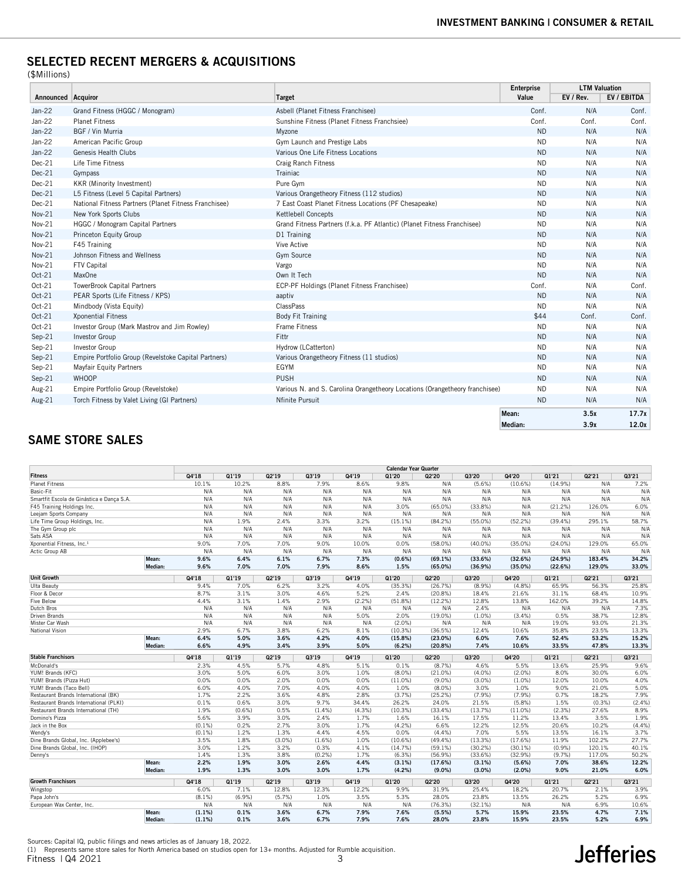## SELECTED RECENT MERGERS & ACQUISITIONS

(\$Millions)

|                    |                                                       |                                                                             | <b>Enterprise</b> | <b>LTM Valuation</b> |             |
|--------------------|-------------------------------------------------------|-----------------------------------------------------------------------------|-------------------|----------------------|-------------|
| Announced Acquiror |                                                       | <b>Target</b>                                                               | Value             | EV / Rev.            | EV / EBITDA |
| $Jan-22$           | Grand Fitness (HGGC / Monogram)                       | Asbell (Planet Fitness Franchisee)                                          | Conf.             | N/A                  | Conf.       |
| Jan-22             | <b>Planet Fitness</b>                                 | Sunshine Fitness (Planet Fitness Franchsiee)                                | Conf.             | Conf.                | Conf.       |
| $Jan-22$           | BGF / Vin Murria                                      | Myzone                                                                      | <b>ND</b>         | N/A                  | N/A         |
| $Jan-22$           | American Pacific Group                                | Gym Launch and Prestige Labs                                                | <b>ND</b>         | N/A                  | N/A         |
| Jan-22             | Genesis Health Clubs                                  | Various One Life Fitness Locations                                          | <b>ND</b>         | N/A                  | N/A         |
| $Dec-21$           | Life Time Fitness                                     | <b>Craig Ranch Fitness</b>                                                  | <b>ND</b>         | N/A                  | N/A         |
| $Dec-21$           | Gympass                                               | Trainiac                                                                    | <b>ND</b>         | N/A                  | N/A         |
| $Dec-21$           | KKR (Minority Investment)                             | Pure Gym                                                                    | <b>ND</b>         | N/A                  | N/A         |
| $Dec-21$           | L5 Fitness (Level 5 Capital Partners)                 | Various Orangetheory Fitness (112 studios)                                  | <b>ND</b>         | N/A                  | N/A         |
| $Dec-21$           | National Fitness Partners (Planet Fitness Franchisee) | 7 East Coast Planet Fitness Locations (PF Chesapeake)                       | <b>ND</b>         | N/A                  | N/A         |
| Nov-21             | New York Sports Clubs                                 | Kettlebell Concepts                                                         | <b>ND</b>         | N/A                  | N/A         |
| Nov-21             | HGGC / Monogram Capital Partners                      | Grand Fitness Partners (f.k.a. PF Atlantic) (Planet Fitness Franchisee)     | <b>ND</b>         | N/A                  | N/A         |
| Nov-21             | Princeton Equity Group                                | D1 Training                                                                 | <b>ND</b>         | N/A                  | N/A         |
| Nov-21             | F45 Training                                          | Vive Active                                                                 | <b>ND</b>         | N/A                  | N/A         |
| Nov-21             | Johnson Fitness and Wellness                          | Gym Source                                                                  | <b>ND</b>         | N/A                  | N/A         |
| Nov-21             | FTV Capital                                           | Vargo                                                                       | <b>ND</b>         | N/A                  | N/A         |
| Oct-21             | MaxOne                                                | Own It Tech                                                                 | <b>ND</b>         | N/A                  | N/A         |
| Oct-21             | <b>TowerBrook Capital Partners</b>                    | ECP-PF Holdings (Planet Fitness Franchisee)                                 | Conf.             | N/A                  | Conf.       |
| Oct-21             | PEAR Sports (Life Fitness / KPS)                      | aaptiv                                                                      | <b>ND</b>         | N/A                  | N/A         |
| Oct-21             | Mindbody (Vista Equity)                               | ClassPass                                                                   | <b>ND</b>         | N/A                  | N/A         |
| Oct-21             | <b>Xponential Fitness</b>                             | <b>Body Fit Training</b>                                                    | \$44              | Conf.                | Conf.       |
| Oct-21             | Investor Group (Mark Mastrov and Jim Rowley)          | Frame Fitness                                                               | <b>ND</b>         | N/A                  | N/A         |
| Sep-21             | <b>Investor Group</b>                                 | Fittr                                                                       | <b>ND</b>         | N/A                  | N/A         |
| Sep-21             | Investor Group                                        | Hydrow (LCatterton)                                                         | <b>ND</b>         | N/A                  | N/A         |
| $Sep-21$           | Empire Portfolio Group (Revelstoke Capital Partners)  | Various Orangetheory Fitness (11 studios)                                   | <b>ND</b>         | N/A                  | N/A         |
| Sep-21             | <b>Mayfair Equity Partners</b>                        | EGYM                                                                        | <b>ND</b>         | N/A                  | N/A         |
| Sep-21             | <b>WHOOP</b>                                          | <b>PUSH</b>                                                                 | <b>ND</b>         | N/A                  | N/A         |
| Aug-21             | Empire Portfolio Group (Revelstoke)                   | Various N. and S. Carolina Orangetheory Locations (Orangetheory franchisee) | <b>ND</b>         | N/A                  | N/A         |
| Aug-21             | Torch Fitness by Valet Living (GI Partners)           | Nfinite Pursuit                                                             | <b>ND</b>         | N/A                  | N/A         |
|                    |                                                       |                                                                             | Mean:             | 3.5x                 | 17.7x       |
|                    |                                                       |                                                                             | Median:           | 3.9x                 | 12.0x       |

## SAME STORE SALES

|                                           |                  |              |              |              |              |              | <b>Calendar Year Quarter</b> |                   |                 |              |              |              |               |
|-------------------------------------------|------------------|--------------|--------------|--------------|--------------|--------------|------------------------------|-------------------|-----------------|--------------|--------------|--------------|---------------|
| <b>Fitness</b>                            |                  | Q4'18        | Q1'19        | Q2'19        | Q3'19        | Q4'19        | Q1'20                        | Q2'20             | Q3'20           | Q4'20        | Q1'21        | Q2'21        | Q3'21         |
| <b>Planet Fitness</b>                     |                  | 10.1%        | 10.2%        | 8.8%         | 7.9%         | 8.6%         | 9.8%                         | N/A               | $(5.6\%)$       | (10.6%)      | (14.9%)      | N/A          | 7.2%          |
| Basic-Fit                                 |                  | N/A          | N/A          | N/A          | N/A          | N/A          | N/A                          | N/A               | N/A             | N/A          | N/A          | N/A          | N/A           |
| Smartfit Escola de Ginástica e Dança S.A. |                  | N/A          | N/A          | N/A          | N/A          | N/A          | N/A                          | N/A               | N/A             | N/A          | N/A          | N/A          | N/A           |
| F45 Training Holdings Inc.                |                  | N/A          | N/A          | N/A          | N/A          | N/A          | 3.0%                         | $(65.0\%)$        | (33.8%)         | N/A          | (21.2%)      | 126.0%       | 6.0%          |
| Leejam Sports Company                     |                  | N/A          | N/A          | N/A          | N/A          | N/A          | N/A                          | N/A               | N/A             | N/A          | N/A          | N/A          | N/A           |
| Life Time Group Holdings, Inc.            |                  | N/A          | 1.9%         | 2.4%         | 3.3%         | 3.2%         | (15.1%)                      | (84.2%)           | $(55.0\%)$      | (52.2%)      | $(39.4\%)$   | 295.1%       | 58.7%         |
| The Gym Group plc                         |                  | N/A          | N/A          | N/A          | N/A          | N/A          | N/A                          | N/A               | N/A             | N/A          | N/A          | N/A          | N/A           |
| Sats ASA                                  |                  | N/A          | N/A          | N/A          | N/A          | N/A          | N/A                          | N/A               | N/A             | N/A          | N/A          | N/A          | N/A           |
| Xponential Fitness, Inc. <sup>1</sup>     |                  | 9.0%         | 7.0%         | 7.0%         | 9.0%         | 10.0%        | 0.0%                         | $(58.0\%)$        | $(40.0\%)$      | $(35.0\%)$   | (24.0%)      | 129.0%       | 65.0%         |
| Actic Group AB                            |                  | N/A          | N/A          | N/A          | N/A          | N/A          | N/A                          | N/A               | N/A             | N/A          | N/A          | N/A          | N/A           |
|                                           | Mean:            | 9.6%         | 6.4%         | 6.1%         | 6.7%         | 7.3%         | $(0.6\%)$                    | (69.1%)           | (33.6%)         | (32.6%)      | (24.9%)      | 183.4%       | 34.2%         |
|                                           | Median:          | 9.6%         | 7.0%         | 7.0%         | 7.9%         | 8.6%         | 1.5%                         | $(65.0\%)$        | (36.9%)         | (35.0%)      | (22.6%)      | 129.0%       | 33.0%         |
| <b>Unit Growth</b>                        |                  | Q4'18        | Q1'19        | Q2'19        | Q3'19        | Q4'19        | Q1'20                        | Q2'20             | Q3'20           | Q4'20        | Q1'21        | Q2'21        | Q3'21         |
| Ulta Beauty                               |                  | 9.4%         | 7.0%         | 6.2%         | 3.2%         | 4.0%         | (35.3%)                      | (26.7%)           | $(8.9\%)$       | (4.8%        | 65.9%        | 56.3%        | 25.8%         |
| Floor & Decor                             |                  | 8.7%         | 3.1%         | 3.0%         | 4.6%         | 5.2%         | 2.4%                         | (20.8%)           | 18.4%           | 21.6%        | 31.1%        | 68.4%        | 10.9%         |
| <b>Five Below</b>                         |                  | 4.4%         | 3.1%         | 1.4%         | 2.9%         | (2.2%)       | (51.8%)                      | (12.2%)           | 12.8%           | 13.8%        | 162.0%       | 39.2%        | 14.8%         |
| Dutch Bros                                |                  | N/A          | N/A          | N/A          | N/A          | N/A          | N/A                          | N/A               | 2.4%            | N/A          | N/A          | N/A          | 7.3%          |
| Driven Brands                             |                  | N/A          | N/A          | N/A          | N/A          | 5.0%         | 2.0%                         | $(19.0\%)$        | $(1.0\%)$       | (3.4% )      | 0.5%         | 38.7%        | 12.8%         |
| Mister Car Wash                           |                  | N/A          | N/A          | N/A          | N/A          | N/A          | $(2.0\%)$                    | N/A               | N/A             | N/A          | 19.0%        | 93.0%        | 21.3%         |
| National Vision                           |                  | 2.9%         | 6.7%         | 3.8%         | 6.2%         | 8.1%         | (10.3%)                      | (36.5%)           | 12.4%           | 10.6%        | 35.8%        | 23.5%        | 13.3%         |
|                                           | Mean:            | 6.4%         | 5.0%         | 3.6%         | 4.2%         | 4.0%         | (15.8%)                      | $(23.0\%)$        | 6.0%            | 7.6%         | 52.4%        | 53.2%        | 15.2%         |
|                                           | Median:          | 6.6%         | 4.9%         | 3.4%         | 3.9%         | 5.0%         | (6.2%)                       | (20.8%)           | 7.4%            | 10.6%        | 33.5%        | 47.8%        | 13.3%         |
| <b>Stable Franchisors</b>                 |                  | Q4'18        | Q1'19        | Q2'19        | Q3'19        | Q4'19        | Q1'20                        | Q2'20             | Q3'20           | Q4'20        | Q1'21        | Q2'21        | Q3'21         |
| McDonald's                                |                  | 2.3%         | 4.5%         | 5.7%         | 4.8%         | 5.1%         | 0.1%                         | (8.7%)            | 4.6%            | 5.5%         | 13.6%        | 25.9%        | 9.6%          |
| YUM! Brands (KFC)                         |                  | 3.0%         | 5.0%         | 6.0%         | 3.0%         | 1.0%         | $(8.0\%)$                    | (21.0%)           | $(4.0\%)$       | (2.0%        | 8.0%         | 30.0%        | 6.0%          |
| YUM! Brands (Pizza Hut)                   |                  | 0.0%         | 0.0%         | 2.0%         | 0.0%         | 0.0%         | $(11.0\%)$                   | $(9.0\%)$         | $(3.0\%)$       | $(1.0\%)$    | 12.0%        | 10.0%        | 4.0%          |
| YUM! Brands (Taco Bell)                   |                  | 6.0%         | 4.0%         | 7.0%         | 4.0%         | 4.0%         | 1.0%                         | $(8.0\%)$         | 3.0%            | 1.0%         | 9.0%         | 21.0%        | 5.0%          |
| Restaurant Brands International (BK)      |                  | 1.7%         | 2.2%         | 3.6%         | 4.8%         | 2.8%         | (3.7%)                       | (25.2%)           | (7.9%)          | (7.9%        | 0.7%         | 18.2%        | 7.9%          |
| Restaurant Brands International (PLKI)    |                  | 0.1%         | 0.6%         | 3.0%         | 9.7%         | 34.4%        | 26.2%                        | 24.0%             | 21.5%           | $(5.8\%)$    | 1.5%         | (0.3%        | (2.4%         |
| Restaurant Brands International (TH)      |                  | 1.9%         | $(0.6\%)$    | 0.5%         | $(1.4\%)$    | (4.3%)       | (10.3%)                      | (33.4%)           | (13.7%)         | $(11.0\%)$   | (2.3%)       | 27.6%        | 8.9%          |
| Domino's Pizza                            |                  | 5.6%         | 3.9%         | 3.0%         | 2.4%         | 1.7%         | 1.6%                         | 16.1%             | 17.5%           | 11.2%        | 13.4%        | 3.5%         | 1.9%          |
| Jack in the Box                           |                  | $(0.1\%)$    | 0.2%         | 2.7%         | 3.0%         | 1.7%         | (4.2%)                       | 6.6%              | 12.2%           | 12.5%        | 20.6%        | 10.2%        | (4.4%)        |
| Wendy's                                   |                  | (0.1%        | 1.2%         | 1.3%         | 4.4%         | 4.5%         | 0.0%                         | (4.4%             | 7.0%            | 5.5%         | 13.5%        | 16.1%        | 3.7%          |
| Dine Brands Global, Inc. (Applebee's)     |                  | 3.5%         | 1.8%         | $(3.0\%)$    | (1.6%)       | 1.0%         | (10.6%)                      | (49.4%            | (13.3%)         | (17.6%       | 11.9%        | 102.2%       | 27.7%         |
| Dine Brands Global, Inc. (IHOP)           |                  | 3.0%         | 1.2%         | 3.2%         | 0.3%         | 4.1%         | (14.7%)                      | (59.1%)           | $(30.2\%)$      | $(30.1\%)$   | (0.9%        | 120.1%       | 40.1%         |
| Denny's                                   |                  | 1.4%         | 1.3%         | 3.8%         | (0.2%        | 1.7%         | (6.3%)                       | (56.9%)           | (33.6%)         | (32.9%)      | (9.7%        | 117.0%       | 50.2%         |
|                                           |                  |              |              |              |              |              |                              | (17.6%)           | $(3.1\%)$       | (5.6%)       | 7.0%         | 38.6%        | 12.2%         |
|                                           |                  |              |              |              |              |              |                              |                   |                 |              |              |              |               |
|                                           | Mean:<br>Median: | 2.2%<br>1.9% | 1.9%<br>1.3% | 3.0%<br>3.0% | 2.6%<br>3.0% | 4.4%<br>1.7% | $(3.1\%)$<br>(4.2%)          | $(9.0\%)$         | $(3.0\%)$       | $(2.0\%)$    | 9.0%         | 21.0%        | 6.0%          |
|                                           |                  |              |              |              |              |              |                              |                   |                 |              |              |              |               |
| <b>Growth Franchisors</b>                 |                  | Q4'18        | Q1'19        | Q2'19        | Q3'19        | Q4'19        | Q1'20                        | Q2'20             | Q3'20           | Q4'20        | Q1'21        | Q2'21        | Q3'21         |
| Wingstop                                  |                  | 6.0%         | 7.1%         | 12.8%        | 12.3%        | 12.2%        | 9.9%                         | 31.9%             | 25.4%           | 18.2%        | 20.7%        | 2.1%         | 3.9%          |
| Papa John's                               |                  | (8.1%        | (6.9%        | (5.7%        | 1.0%         | 3.5%         | 5.3%                         | 28.0%             | 23.8%           | 13.5%        | 26.2%        | 5.2%         | 6.9%          |
| European Wax Center, Inc.                 | Mean:            | N/A<br>(1.1% | N/A<br>0.1%  | N/A<br>3.6%  | N/A<br>6.7%  | N/A<br>7.9%  | N/A<br>7.6%                  | (76.3%)<br>(5.5%) | (32.1%)<br>5.7% | N/A<br>15.9% | N/A<br>23.5% | 6.9%<br>4.7% | 10.6%<br>7.1% |

Fitness | Q4 2021 3 Sources: Capital IQ, public filings and news articles as of January 18, 2022. (1) Represents same store sales for North America based on studios open for 13+ months. Adjusted for Rumble acquisition.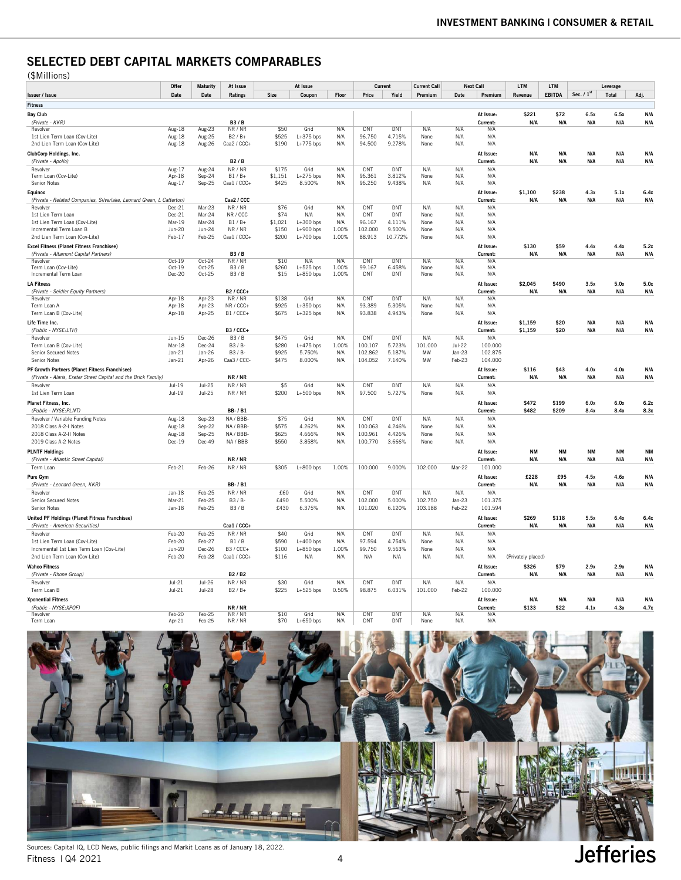## SELECTED DEBT CAPITAL MARKETS COMPARABLES

| (\$Millions) |  |
|--------------|--|
|--------------|--|

| \ + * * * * * * * * * * * * *                                         | Offer<br>At Issue<br>At Issue<br><b>Maturity</b> |               |                | Current |             |       |            | <b>Next Call</b> | <b>LTM</b>                     | LTM      |           | Leverage           |               |              |           |           |
|-----------------------------------------------------------------------|--------------------------------------------------|---------------|----------------|---------|-------------|-------|------------|------------------|--------------------------------|----------|-----------|--------------------|---------------|--------------|-----------|-----------|
| Issuer / Issue                                                        | Date                                             | Date          | Ratings        | Size    | Coupon      | Floor | Price      | Yield            | <b>Current Call</b><br>Premium | Date     | Premium   | Revenue            | <b>EBITDA</b> | Sec. $/ 1st$ | Total     | Adj.      |
|                                                                       |                                                  |               |                |         |             |       |            |                  |                                |          |           |                    |               |              |           |           |
| Fitness                                                               |                                                  |               |                |         |             |       |            |                  |                                |          |           |                    |               |              |           |           |
| <b>Bay Club</b>                                                       |                                                  |               |                |         |             |       |            |                  |                                |          | At Issue: | \$221              | \$72          | 6.5x         | 6.5x      | N/A       |
| (Private - KKR)                                                       |                                                  |               | <b>B3/B</b>    |         |             |       |            |                  |                                |          | Current:  | N/A                | N/A           | N/A          | N/A       | N/A       |
| Revolver                                                              | $Aug-18$                                         | Aug-23        | NR / NR        | \$50    | Grid        | N/A   | <b>DNT</b> | <b>DNT</b>       | N/A                            | N/A      | N/A       |                    |               |              |           |           |
| 1st Lien Term Loan (Cov-Lite)                                         | Aug-18                                           | Aug-25        | $B2/B+$        | \$525   | $L+375$ bps | N/A   | 96.750     | 4.715%           | None                           | N/A      | N/A       |                    |               |              |           |           |
| 2nd Lien Term Loan (Cov-Lite)                                         | Aug-18                                           | Aug-26        | Caa2 / CCC+    | \$190   | $L+775$ bps | N/A   | 94.500     | 9.278%           | None                           | N/A      | N/A       |                    |               |              |           |           |
| ClubCorp Holdings, Inc.                                               |                                                  |               |                |         |             |       |            |                  |                                |          | At Issue: | N/A                | N/A           | N/A          | N/A       | N/A       |
| (Private - Apollo)                                                    |                                                  |               | <b>B2/B</b>    |         |             |       |            |                  |                                |          | Current:  | N/A                | N/A           | N/A          | N/A       | N/A       |
| Revolver                                                              | Aug-17                                           | Aug-24        | NR / NR        | \$175   | Grid        | N/A   | DNT        | DNT              | N/A                            | N/A      | N/A       |                    |               |              |           |           |
| Term Loan (Cov-Lite)                                                  | Apr-18                                           | Sep-24        | $B1/B+$        | \$1,151 | $L+275$ bps | N/A   | 96.361     | 3.812%           | None                           | N/A      | N/A       |                    |               |              |           |           |
| Senior Notes                                                          | Aug-17                                           | Sep-25        | Caa1 / CCC+    | \$425   | 8.500%      | N/A   | 96.250     | 9.438%           | N/A                            | N/A      | N/A       |                    |               |              |           |           |
| Equinox                                                               |                                                  |               |                |         |             |       |            |                  |                                |          | At Issue: | \$1,100            | \$238         | 4.3x         | 5.1x      | 6.4x      |
| (Private - Related Companies, Silverlake, Leonard Green, L Catterton) |                                                  |               | Caa2 / CCC     |         |             |       |            |                  |                                |          | Current:  | N/A                | N/A           | N/A          | N/A       | N/A       |
| Revolver                                                              | Dec-21                                           | Mar-23        | NR / NR        | \$76    | Grid        | N/A   | DNT        | DNT              | N/A                            | N/A      | N/A       |                    |               |              |           |           |
| 1st Lien Term Loan                                                    | Dec-21                                           | Mar-24        | NR / CCC       | \$74    | N/A         | N/A   | DNT        | DNT              | None                           | N/A      | N/A       |                    |               |              |           |           |
| 1st Lien Term Loan (Cov-Lite)                                         | Mar-19                                           | Mar-24        | $B1/B+$        | \$1,021 | $L+300$ bps | N/A   | 96.167     | 4.111%           | None                           | N/A      | N/A       |                    |               |              |           |           |
| Incremental Term Loan B                                               | Jun-20                                           | Jun-24        | NR / NR        | \$150   | $L+900$ bps | 1.00% | 102.000    | 9.500%           | None                           | N/A      | N/A       |                    |               |              |           |           |
| 2nd Lien Term Loan (Cov-Lite)                                         | Feb-17                                           | Feb-25        | Caa1 / CCC+    | \$200   | $L+700$ bps | 1.00% | 88.913     | 10.772%          | None                           | N/A      | N/A       |                    |               |              |           |           |
| Excel Fitness (Planet Fitness Franchisee)                             |                                                  |               |                |         |             |       |            |                  |                                |          | At Issue: | \$130              | \$59          | 4.4x         | 4.4x      | 5.2x      |
| (Private - Altamont Capital Partners)                                 |                                                  |               | <b>R3/R</b>    |         |             |       |            |                  |                                |          | Current:  | N/A                | N/A           | N/A          | N/A       | N/A       |
| Revolver                                                              | $0ct-19$                                         | $Oct-24$      | NR / NR        | \$10    | N/A         | N/A   | DNT        | <b>DNT</b>       | N/A                            | N/A      | N/A       |                    |               |              |           |           |
| Term Loan (Cov-Lite)                                                  | $Oct-19$                                         | Oct-25        | <b>B3/B</b>    | \$260   | $L+525$ bps | 1.00% | 99.167     | 6.458%           | None                           | N/A      | N/A       |                    |               |              |           |           |
| Incremental Term Loan                                                 | Dec-20                                           | Oct-25        | <b>B3/B</b>    | \$15    | $L+850$ bps | 1.00% | <b>DNT</b> | DNT              | None                           | N/A      | N/A       |                    |               |              |           |           |
| <b>LA Fitness</b>                                                     |                                                  |               |                |         |             |       |            |                  |                                |          | At Issue: | \$2,045            | \$490         | 3.5x         | 5.0x      | 5.0x      |
| (Private - Seidler Equity Partners)                                   |                                                  |               | <b>B2/CCC+</b> |         |             |       |            |                  |                                |          | Current:  | N/A                | N/A           | N/A          | N/A       | N/A       |
| Revolver                                                              | Apr-18                                           | Apr-23        | NR / NR        | \$138   | Grid        | N/A   | DNT        | DNT              | N/A                            | N/A      | N/A       |                    |               |              |           |           |
| Term Loan A                                                           | Apr-18                                           | Apr-23        | NR / CCC+      | \$925   | $L+350$ bps | N/A   | 93.389     | 5.305%           | None                           | N/A      | N/A       |                    |               |              |           |           |
| Term Loan B (Cov-Lite)                                                | Apr-18                                           | Apr-25        | $B1 / CCC+$    | \$675   | $L+325$ bps | N/A   | 93.838     | 4.943%           | None                           | N/A      | N/A       |                    |               |              |           |           |
| Life Time Inc.                                                        |                                                  |               |                |         |             |       |            |                  |                                |          | At Issue: | \$1,159            | \$20          | N/A          | N/A       | N/A       |
| (Public - NYSE:LTH)                                                   |                                                  |               | <b>B3/CCC+</b> |         |             |       |            |                  |                                |          | Current:  | \$1,159            | \$20          | N/A          | N/A       | N/A       |
| Revolver                                                              | $Jun-15$                                         | Dec-26        | B3/B           | \$475   | Grid        | N/A   | DNT        | <b>DNT</b>       | N/A                            | N/A      | N/A       |                    |               |              |           |           |
| Term Loan B (Cov-Lite)                                                | Mar-18                                           | Dec-24        | $B3/B-$        | \$280   | $L+475$ bps | 1.00% | 100.107    | 5.723%           | 101.000                        | $Jul-22$ | 100.000   |                    |               |              |           |           |
| Senior Secured Notes                                                  | $Jan-21$                                         | Jan-26        | B3 / B-        | \$925   | 5.750%      | N/A   | 102.862    | 5.187%           | MW                             | Jan-23   | 102.875   |                    |               |              |           |           |
| Senior Notes                                                          | $Jan-21$                                         | Apr-26        | Caa3 / CCC     | \$475   | 8.000%      | N/A   | 104.052    | 7.140%           | <b>MW</b>                      | Feb-23   | 104.000   |                    |               |              |           |           |
|                                                                       |                                                  |               |                |         |             |       |            |                  |                                |          |           |                    |               |              |           |           |
| PF Growth Partners (Planet Fitness Franchisee)                        |                                                  |               |                |         |             |       |            |                  |                                |          | At Issue: | \$116              | \$43          | 4.0x         | 4.0x      | N/A       |
| (Private - Alaris, Exeter Street Capital and the Brick Family)        |                                                  |               | NR / NR        |         |             |       |            |                  |                                |          | Current:  | N/A                | N/A           | N/A          | N/A       | N/A       |
| Revolver                                                              | $Jul-19$                                         | $Jul-25$      | NR / NR        | \$5     | Grid        | N/A   | DNT        | DNT              | N/A                            | N/A      | N/A       |                    |               |              |           |           |
| 1st Lien Term Loan                                                    | $Jul-19$                                         | $Jul-25$      | NR / NR        | \$200   | $L+500$ bps | N/A   | 97.500     | 5.727%           | None                           | N/A      | N/A       |                    |               |              |           |           |
| Planet Fitness, Inc.                                                  |                                                  |               |                |         |             |       |            |                  |                                |          | At Issue: | \$472              | \$199         | 6.0x         | 6.0x      | 6.2x      |
| (Public - NYSE:PLNT)                                                  |                                                  |               | <b>BB-/B1</b>  |         |             |       |            |                  |                                |          | Current:  | \$482              | \$209         | 8.4x         | 8.4x      | 8.3x      |
| Revolver / Variable Funding Notes                                     | Aug-18                                           | Sep-23        | NA / BBB-      | \$75    | Grid        | N/A   | DNT        | DNT              | N/A                            | N/A      | N/A       |                    |               |              |           |           |
| 2018 Class A-2-I Notes                                                | Aug-18                                           | Sep-22        | NA / BBB       | \$575   | 4.262%      | N/A   | 100.063    | 4.246%           | None                           | N/A      | N/A       |                    |               |              |           |           |
| 2018 Class A-2-II Notes                                               | Aug-18                                           | Sep-25        | NA / BBB-      | \$625   | 4.666%      | N/A   | 100.961    | 4.426%           | None                           | N/A      | N/A       |                    |               |              |           |           |
| 2019 Class A-2 Notes                                                  | $Dec-19$                                         | Dec-49        | NA / BBB       | \$550   | 3.858%      | N/A   | 100.770    | 3.666%           | None                           | N/A      | N/A       |                    |               |              |           |           |
|                                                                       |                                                  |               |                |         |             |       |            |                  |                                |          |           | <b>NM</b>          | <b>NM</b>     | <b>NM</b>    | <b>NM</b> |           |
| <b>PLNTF Holdings</b>                                                 |                                                  |               | NR / NR        |         |             |       |            |                  |                                |          | At Issue: | N/A                |               |              | N/A       | NM<br>N/A |
| (Private - Atlantic Street Capital)                                   |                                                  |               |                |         |             |       |            |                  |                                |          | Current:  |                    | N/A           | N/A          |           |           |
| Term Loan                                                             | Feb-21                                           | Feb-26        | NR / NR        | \$305   | $L+800$ bps | 1.00% | 100.000    | 9.000%           | 102.000                        | Mar-22   | 101.000   |                    |               |              |           |           |
| Pure Gvm                                                              |                                                  |               |                |         |             |       |            |                  |                                |          | At Issue: | £228               | £95           | 4.5x         | 4.6x      | N/A       |
| (Private - Leonard Green, KKR)                                        |                                                  |               | <b>BB-/B1</b>  |         |             |       |            |                  |                                |          | Current:  | N/A                | N/A           | N/A          | N/A       | N/A       |
| Revolver                                                              | Jan-18                                           | Feb-25        | NR / NR        | £60     | Grid        | N/A   | <b>DNT</b> | DNT              | N/A                            | N/A      | N/A       |                    |               |              |           |           |
| Senior Secured Notes                                                  | Mar-21                                           | Feb-25        | B3 / B-        | £490    | 5.500%      | N/A   | 102.000    | 5.000%           | 102.750                        | Jan-23   | 101.375   |                    |               |              |           |           |
| Senior Notes                                                          | $Jan-18$                                         | Feb-25        | <b>B3/B</b>    | £430    | 6.375%      | N/A   | 101.020    | 6.120%           | 103.188                        | Feb-22   | 101.594   |                    |               |              |           |           |
| United PF Holdings (Planet Fitness Franchisee)                        |                                                  |               |                |         |             |       |            |                  |                                |          | At Issue: | \$269              | \$118         | 5.5x         | 6.4x      | 6.4x      |
| (Private - American Securities)                                       |                                                  |               | Caa1 / CCC+    |         |             |       |            |                  |                                |          | Current:  | N/A                | N/A           | N/A          | N/A       | N/A       |
| Revolver                                                              | Feb-20                                           | Feb-25        | NR / NR        | \$40    | Grid        | N/A   | DNT        | DNT              | N/A                            | N/A      | N/A       |                    |               |              |           |           |
| 1st Lien Term Loan (Cov-Lite)                                         | Feb-20                                           | Feb-27        | <b>B1/B</b>    | \$590   | $L+400$ bps | N/A   | 97.594     | 4.754%           | None                           | N/A      | N/A       |                    |               |              |           |           |
| Incremental 1st Lien Term Loan (Cov-Lite)                             | <b>Jun-20</b>                                    | Dec-26        | <b>B3/CCC+</b> | \$100   | $L+850$ bps | 1.00% | 99.750     | 9.563%           | None                           | N/A      | N/A       |                    |               |              |           |           |
| 2nd Lien Term Loan (Cov-Lite)                                         | Feb-20                                           | Feb-28        | Caa1 / CCC+    | \$116   | N/A         | N/A   | N/A        | N/A              | N/A                            | N/A      | N/A       | (Privately placed) |               |              |           |           |
|                                                                       |                                                  |               |                |         |             |       |            |                  |                                |          |           |                    |               |              |           |           |
| <b>Wahoo Fitness</b>                                                  |                                                  |               |                |         |             |       |            |                  |                                |          | At Issue: | \$326              | \$79          | 2.9x         | 2.9x      | N/A       |
| (Private - Rhone Group)                                               |                                                  |               | B2 / B2        |         |             |       |            |                  |                                |          | Current:  | N/A                | N/A           | N/A          | N/A       | N/A       |
| Revolver                                                              | $Jul-21$                                         | Jul-26        | NR / NR        | \$30    | Grid        | N/A   | DNT        | <b>DNT</b>       | N/A                            | N/A      | N/A       |                    |               |              |           |           |
| Term Loan B                                                           | $Jul-21$                                         | <b>Jul-28</b> | $B2/B+$        | \$225   | $L+525$ bps | 0.50% | 98.875     | 6.031%           | 101.000                        | Feb-22   | 100.000   |                    |               |              |           |           |
| <b>Xponential Fitness</b>                                             |                                                  |               |                |         |             |       |            |                  |                                |          | At Issue: | N/A                | N/A           | N/A          | N/A       | N/A       |
| (Public - NYSE:XPOF)                                                  |                                                  |               | NR / NR        |         |             |       |            |                  |                                |          | Current:  | \$133              | \$22          | 4.1x         | 4.3x      | 4.7x      |
| Revolver                                                              | $Feb-20$                                         | Feb-25        | NR / NR        | \$10    | Grid        | N/A   | <b>DNT</b> | DNT              | N/A                            | N/A      | N/A       |                    |               |              |           |           |
| Term Loan                                                             | Apr-21                                           | Feb-25        | NR / NR        | \$70    | $L+650$ bps | N/A   | DNT        | DNT              | None                           | N/A      | N/A       |                    |               |              |           |           |



Fitness | Q4 2021 4 Sources: Capital IQ, LCD News, public filings and Markit Loans as of January 18, 2022.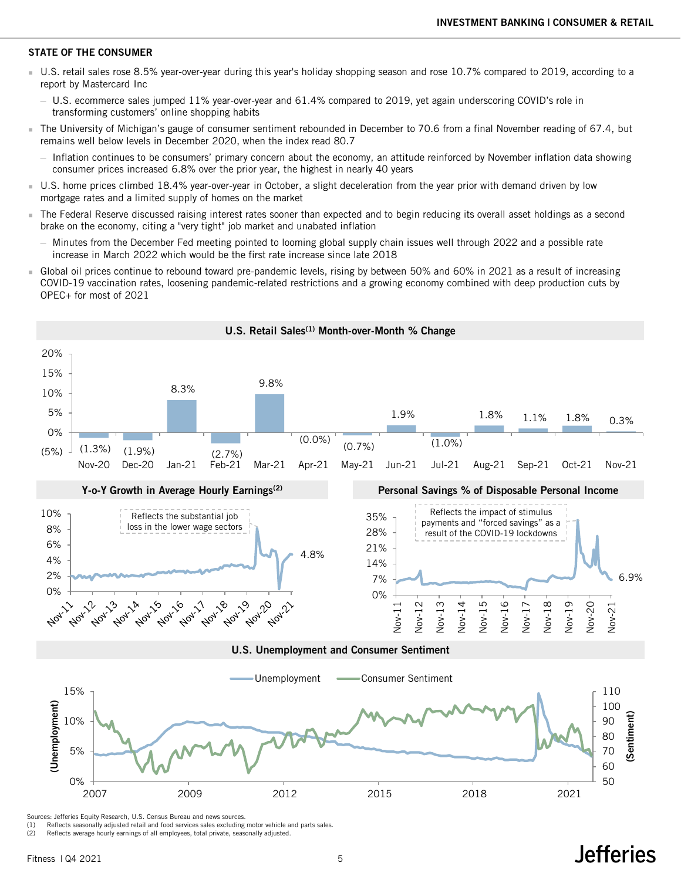#### STATE OF THE CONSUMER

- U.S. retail sales rose 8.5% year-over-year during this year's holiday shopping season and rose 10.7% compared to 2019, according to a report by Mastercard Inc
	- ─ U.S. ecommerce sales jumped 11% year-over-year and 61.4% compared to 2019, yet again underscoring COVID's role in transforming customers' online shopping habits
- The University of Michigan's gauge of consumer sentiment rebounded in December to 70.6 from a final November reading of 67.4, but remains well below levels in December 2020, when the index read 80.7
	- ─ Inflation continues to be consumers' primary concern about the economy, an attitude reinforced by November inflation data showing consumer prices increased 6.8% over the prior year, the highest in nearly 40 years
- U.S. home prices climbed 18.4% year-over-year in October, a slight deceleration from the year prior with demand driven by low mortgage rates and a limited supply of homes on the market
- The Federal Reserve discussed raising interest rates sooner than expected and to begin reducing its overall asset holdings as a second brake on the economy, citing a "very tight" job market and unabated inflation
	- ─ Minutes from the December Fed meeting pointed to looming global supply chain issues well through 2022 and a possible rate increase in March 2022 which would be the first rate increase since late 2018
- Global oil prices continue to rebound toward pre-pandemic levels, rising by between 50% and 60% in 2021 as a result of increasing COVID-19 vaccination rates, loosening pandemic-related restrictions and a growing economy combined with deep production cuts by OPEC+ for most of 2021

U.S. Retail Sales<sup>(1)</sup> Month-over-Month % Change



(1) Reflects seasonally adjusted retail and food services sales excluding motor vehicle and parts sales.

(2) Reflects average hourly earnings of all employees, total private, seasonally adjusted.

## **Jefferies**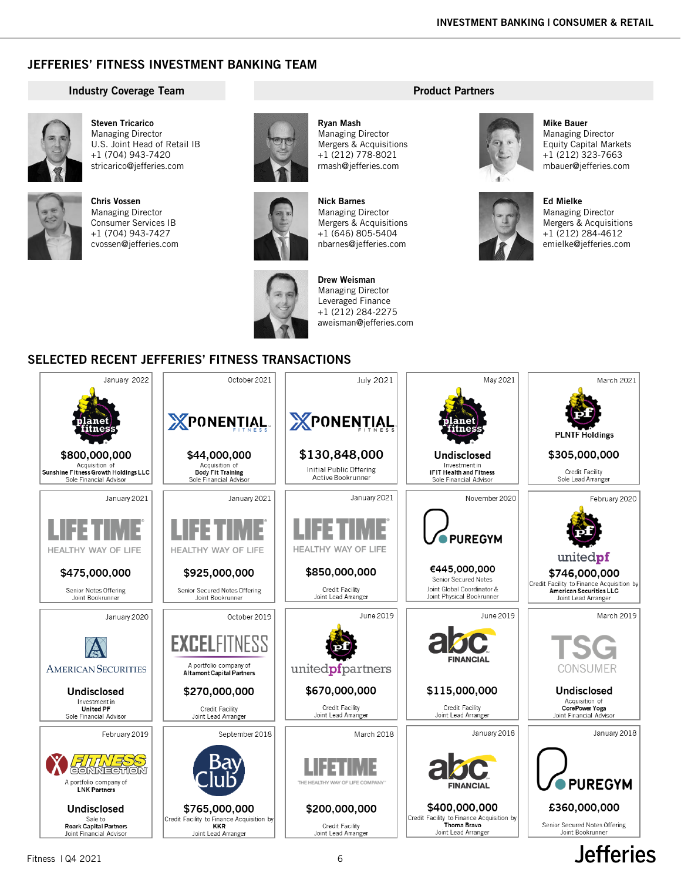## JEFFERIES' FITNESS INVESTMENT BANKING TEAM

#### Industry Coverage Team



Steven Tricarico Managing Director U.S. Joint Head of Retail IB +1 (704) 943-7420 stricarico@jefferies.com



Chris Vossen Managing Director Consumer Services IB +1 (704) 943-7427 cvossen@jefferies.com





Nick Barnes Managing Director Mergers & Acquisitions +1 (646) 805-5404

Ryan Mash Managing Director Mergers & Acquisitions +1 (212) 778-8021 rmash@jefferies.com



nbarnes@jefferies.com

Drew Weisman Managing Director Leveraged Finance +1 (212) 284-2275 aweisman@jefferies.com

## Product Partners



Mike Bauer Managing Director Equity Capital Markets +1 (212) 323-7663 mbauer@jefferies.com



Ed Mielke Managing Director Mergers & Acquisitions +1 (212) 284-4612 emielke@jefferies.com

**Jefferies** 

## SELECTED RECENT JEFFERIES' FITNESS TRANSACTIONS

| January 2022                                                                     | October 2021                                                                      | <b>July 2021</b>                                        | May 2021                                                                        | March 2021                                                                                                   |
|----------------------------------------------------------------------------------|-----------------------------------------------------------------------------------|---------------------------------------------------------|---------------------------------------------------------------------------------|--------------------------------------------------------------------------------------------------------------|
|                                                                                  | <b>XPONENTIAL</b>                                                                 | XPONENTIAL                                              | ane                                                                             | <b>PLNTF Holdings</b>                                                                                        |
| \$800,000,000                                                                    | \$44,000,000                                                                      | \$130,848,000                                           | Undisclosed                                                                     | \$305,000,000                                                                                                |
| Acquisition of<br>Sunshine Fitness Growth Holdings LLC<br>Sole Financial Advisor | Acquisition of<br><b>Body Fit Training</b><br>Sole Financial Advisor              | Initial Public Offering<br>Active Bookrunner            | Investment in<br><b>iFIT Health and Fitness</b><br>Sole Financial Advisor       | Credit Facility<br>Sole Lead Arranger                                                                        |
| January 2021                                                                     | January 2021                                                                      | January 2021                                            | November 2020                                                                   | February 2020                                                                                                |
| I IFF T<br><b>HEALTHY WAY OF LIFE</b>                                            | FFI<br>HEALTHY WAY OF LIFE                                                        | HEALTHY WAY OF LIFE                                     | <b>PUREGYM</b>                                                                  |                                                                                                              |
|                                                                                  |                                                                                   |                                                         | €445,000,000                                                                    | unitedpf                                                                                                     |
| \$475,000,000<br>Senior Notes Offering<br>Joint Bookrunner                       | \$925,000,000<br>Senior Secured Notes Offering<br>Joint Bookrunner                | \$850,000,000<br>Credit Facility<br>Joint Lead Arranger | Senior Secured Notes<br>Joint Global Coordinator &<br>Joint Physical Bookrunner | \$746,000,000<br>Credit Facility to Finance Acquisition by<br>American Securities LLC<br>Joint Lead Arranger |
| January 2020                                                                     | October 2019                                                                      | June 2019                                               | June 2019                                                                       | March 2019                                                                                                   |
| <b>AMERICAN SECURITIES</b>                                                       | <b>EXCELFITNESS</b><br>A portfolio company of<br><b>Altamont Capital Partners</b> | unitedpfpartners                                        | <b>FINANCIAL</b>                                                                | ISG<br>CONSUMER                                                                                              |
| <b>Undisclosed</b>                                                               | \$270,000,000                                                                     | \$670,000,000                                           | \$115,000,000                                                                   | <b>Undisclosed</b>                                                                                           |
| Investment in<br><b>United PF</b><br>Sole Financial Advisor                      | Credit Facility<br>Joint Lead Arranger                                            | Credit Facility<br>Joint Lead Arranger                  | Credit Facility<br>Joint Lead Arranger                                          | Acquisition of<br><b>CorePower Yoga</b><br>Joint Financial Advisor                                           |
| February 2019                                                                    | September 2018                                                                    | March 2018                                              | January 2018                                                                    | January 2018                                                                                                 |
| A portfolio company of<br><b>LNK Partners</b>                                    |                                                                                   | THE HEALTHY WAY OF LIFE COMPANY                         | <b>FINANCIAI</b>                                                                | <b>• PUREGYM</b>                                                                                             |
| Undisclosed                                                                      | \$765,000,000                                                                     | \$200,000,000                                           | \$400,000,000                                                                   | £360,000,000                                                                                                 |
| Sale to<br><b>Roark Capital Partners</b><br>Joint Financial Advisor              | Credit Facility to Finance Acquisition by<br><b>KKR</b><br>Joint Lead Arranger    | Credit Facility<br>Joint Lead Arranger                  | Credit Facility to Finance Acquisition by<br>Thoma Bravo<br>Joint Lead Arranger | Senior Secured Notes Offering<br>Joint Bookrunner                                                            |